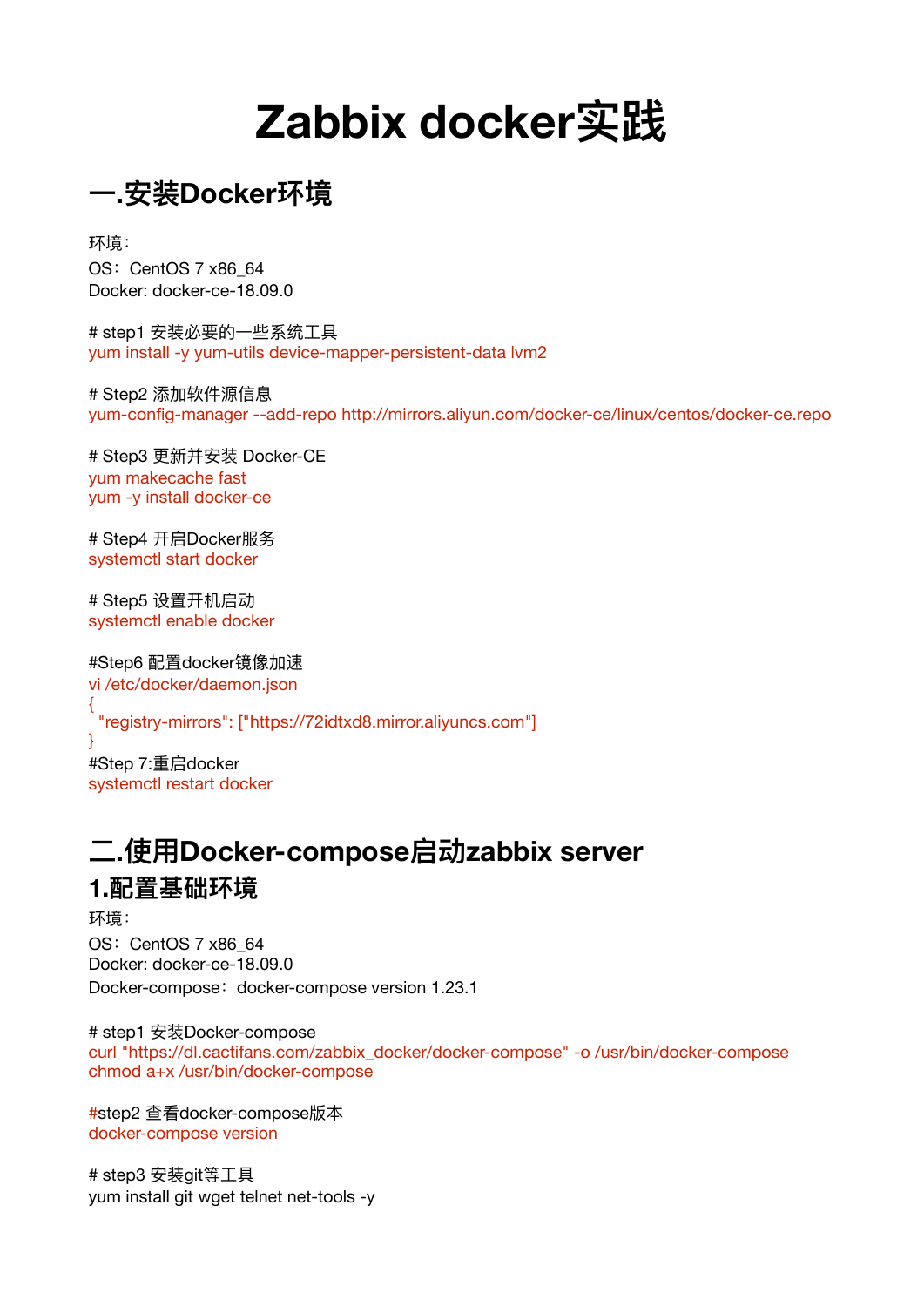# **Zabbix docker实践**

**⼀.安装Docker环境**

环境: OS: CentOS 7 x86\_64 Docker: docker-ce-18.09.0

# step1 安装必要的一些系统工具 yum install -y yum-utils device-mapper-persistent-data lvm2

# Step2 添加软件源信息 yum-config-manager --add-repo http://mirrors.aliyun.com/docker-ce/linux/centos/docker-ce.repo

# Step3 更新并安装 Docker-CE yum makecache fast yum -y install docker-ce

# Step4 开启Docker服务 systemctl start docker

# Step5 设置开机启动 systemctl enable docker

#Step6 配置docker镜像加速 vi /etc/docker/daemon.json {

"registry-mirrors": ["https://72idtxd8.mirror.aliyuncs.com"]

#Step 7:重启docker systemctl restart docker

}

# **⼆.使⽤Docker-compose启动zabbix server 1.配置基础环境**

环境: OS: CentOS 7 x86 64 Docker: docker-ce-18.09.0 Docker-compose: docker-compose version 1.23.1

# step1 安装Docker-compose curl "https://dl.cactifans.com/zabbix\_docker/docker-compose" -o /usr/bin/docker-compose chmod a+x /usr/bin/docker-compose

#step2 查看docker-compose版本 docker-compose version

# step3 安装git等工具 yum install git wget telnet net-tools -y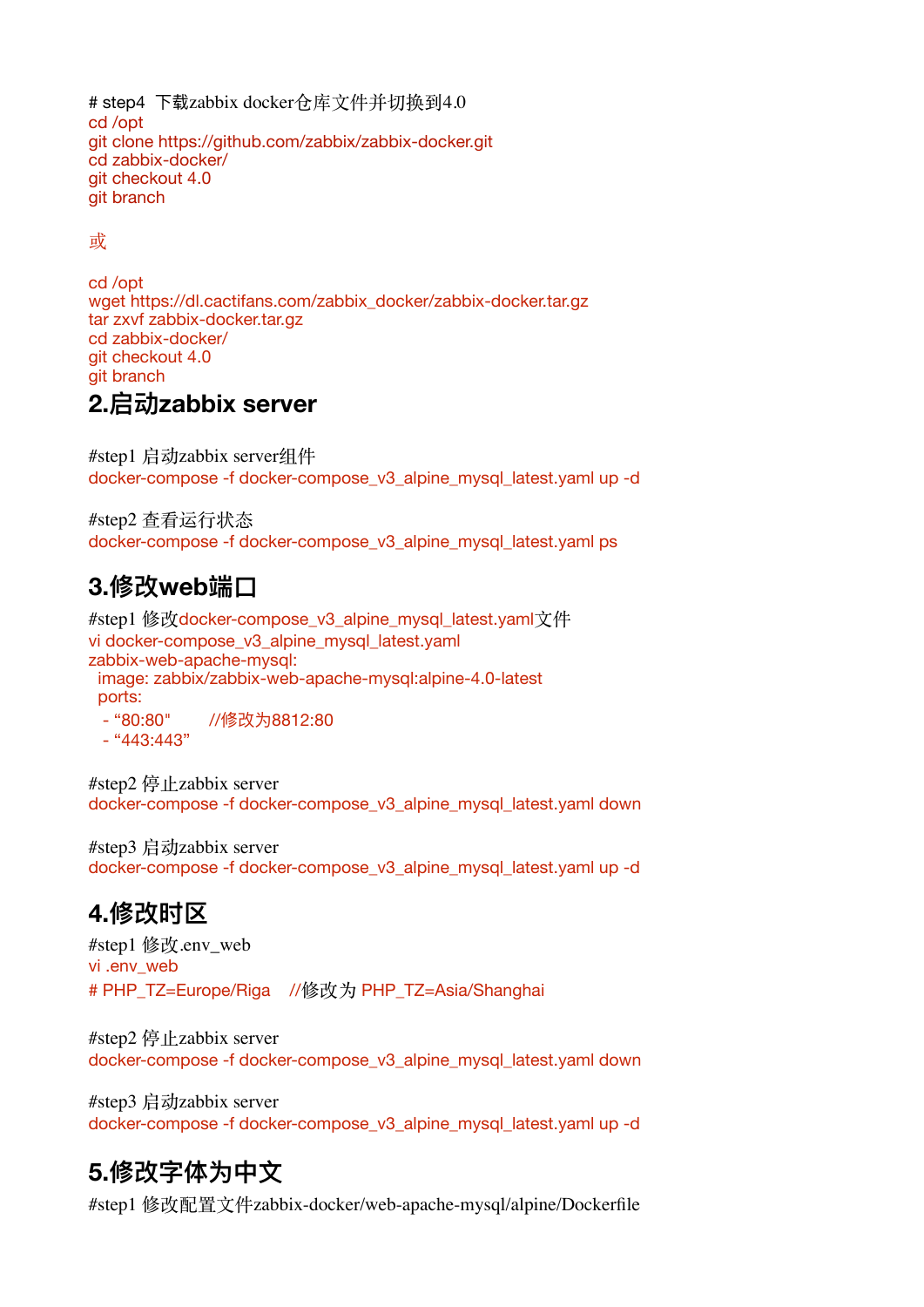```
# step4 下载zabbix docker仓库文件并切换到4.0
cd /opt
git clone https://github.com/zabbix/zabbix-docker.git
cd zabbix-docker/
git checkout 4.0
git branch
```
#### 或

cd /opt wget [https://dl.cactifans.com/zabbix\\_docker/zabbix-docker.tar.gz](https://dl.cactifans.com/zabbix_docker/zabbix-docker.tar.gz) tar zxvf zabbix-docker.tar.gz cd zabbix-docker/ git checkout 4.0 git branch **2.启动zabbix server** 

#step1 启动zabbix server组件

docker-compose -f docker-compose\_v3\_alpine\_mysql\_latest.yaml up -d

#step2 查看运行状态 docker-compose -f docker-compose\_v3\_alpine\_mysql\_latest.yaml ps

#### **3.修改web端⼝**

#step1 修改docker-compose\_v3\_alpine\_mysql\_latest.yaml文件 vi docker-compose\_v3\_alpine\_mysql\_latest.yaml zabbix-web-apache-mysql: image: zabbix/zabbix-web-apache-mysql:alpine-4.0-latest ports:

- "80:80" //修改为8812:80  $-$  "443:443"

#step2 停止zabbix server docker-compose -f docker-compose\_v3\_alpine\_mysql\_latest.yaml down

#step3 启动zabbix server docker-compose -f docker-compose\_v3\_alpine\_mysql\_latest.yaml up -d

### **4.修改时区**

#step1 修改.env\_web vi .env\_web # PHP\_TZ=Europe/Riga //修改为 PHP\_TZ=Asia/Shanghai

#step2 停止zabbix server docker-compose -f docker-compose\_v3\_alpine\_mysql\_latest.yaml down

#step3 启动zabbix server docker-compose -f docker-compose\_v3\_alpine\_mysql\_latest.yaml up -d

### **5.修改字体为中⽂**

#step1 修改配置文件zabbix-docker/web-apache-mysql/alpine/Dockerfile